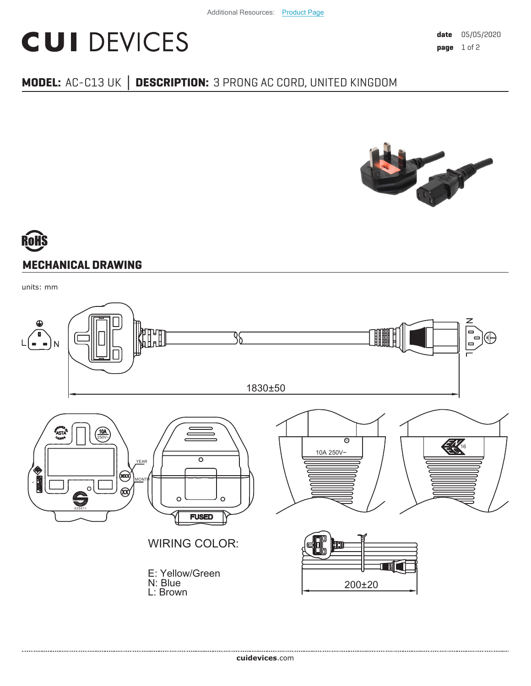## **CUI DEVICES**

### **MODEL:** AC-C13 UK | DESCRIPTION: 3 PRONG AC CORD, UNITED KINGDOM



# **MECHANICAL DRAWING**

units: mm

.....................................